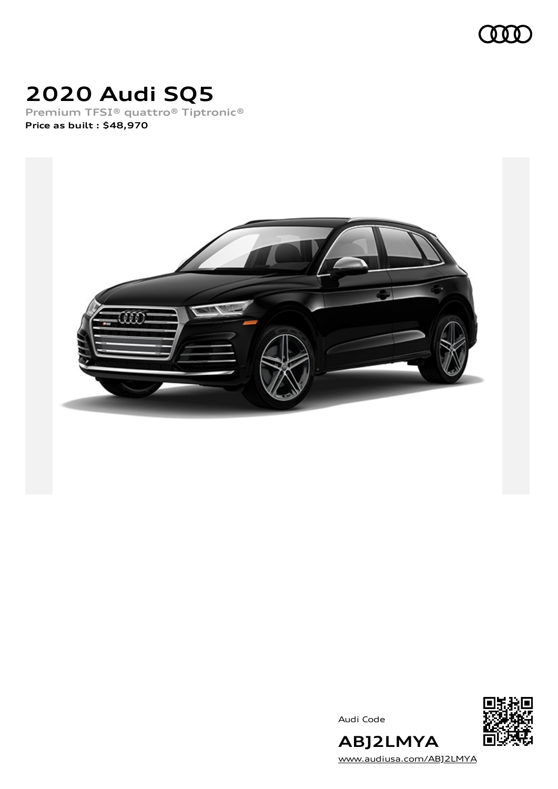

# **2020 Audi SQ5**

**Premium TFSI® quattro® Tiptronic® Price as built [:](#page-8-0) \$48,970**



Audi Code



**ABJ2LMYA** [www.audiusa.com/ABJ2LMYA](https://www.audiusa.com/ABJ2LMYA)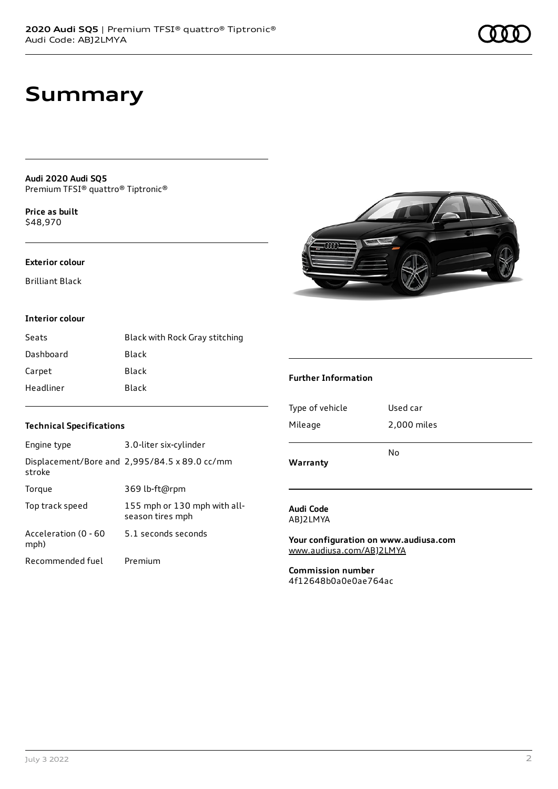## **Summary**

**Audi 2020 Audi SQ5** Premium TFSI® quattro® Tiptronic®

**Price as buil[t](#page-8-0)** \$48,970

#### **Exterior colour**

Brilliant Black

#### **Interior colour**

| Seats     | Black with Rock Gray stitching |
|-----------|--------------------------------|
| Dashboard | Black                          |
| Carpet    | Black                          |
| Headliner | Black                          |



| Engine type                  | 3.0-liter six-cylinder                           |
|------------------------------|--------------------------------------------------|
| stroke                       | Displacement/Bore and 2,995/84.5 x 89.0 cc/mm    |
| Torque                       | 369 lb-ft@rpm                                    |
| Top track speed              | 155 mph or 130 mph with all-<br>season tires mph |
| Acceleration (0 - 60<br>mph) | 5.1 seconds seconds                              |
| Recommended fuel             | Premium                                          |

#### **Further Information**

| Warranty        | N٥          |
|-----------------|-------------|
| Mileage         | 2,000 miles |
| Type of vehicle | Used car    |

**Audi Code** ABJ2LMYA

**Your configuration on www.audiusa.com** [www.audiusa.com/ABJ2LMYA](https://www.audiusa.com/ABJ2LMYA)

**Commission number** 4f12648b0a0e0ae764ac

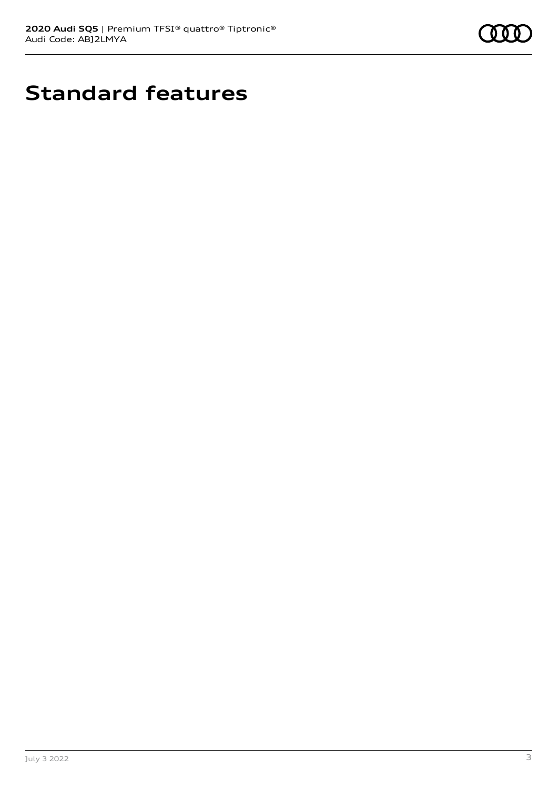

# **Standard features**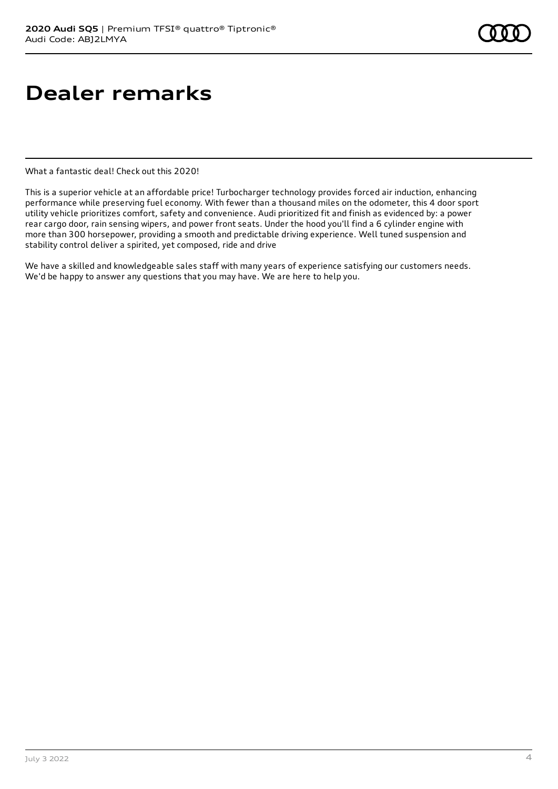## **Dealer remarks**

What a fantastic deal! Check out this 2020!

This is a superior vehicle at an affordable price! Turbocharger technology provides forced air induction, enhancing performance while preserving fuel economy. With fewer than a thousand miles on the odometer, this 4 door sport utility vehicle prioritizes comfort, safety and convenience. Audi prioritized fit and finish as evidenced by: a power rear cargo door, rain sensing wipers, and power front seats. Under the hood you'll find a 6 cylinder engine with more than 300 horsepower, providing a smooth and predictable driving experience. Well tuned suspension and stability control deliver a spirited, yet composed, ride and drive

We have a skilled and knowledgeable sales staff with many years of experience satisfying our customers needs. We'd be happy to answer any questions that you may have. We are here to help you.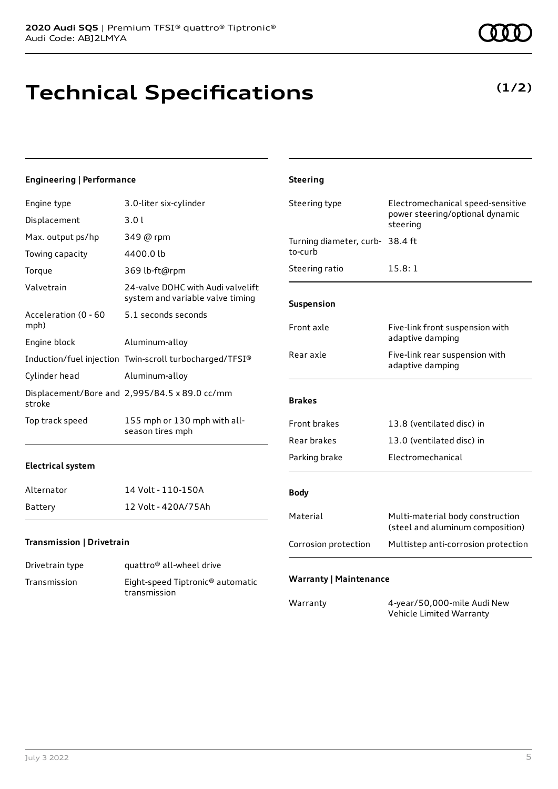# **Technical Specifications**

### **Engineering | Performance**

| Engine type                  | 3.0-liter six-cylinder                                                |
|------------------------------|-----------------------------------------------------------------------|
| Displacement                 | 3.0l                                                                  |
| Max. output ps/hp            | 349 @ rpm                                                             |
| Towing capacity              | 4400.0 lb                                                             |
| Torque                       | 369 lb-ft@rpm                                                         |
| Valvetrain                   | 24-valve DOHC with Audi valvelift<br>system and variable valve timing |
| Acceleration (0 - 60<br>mph) | 5.1 seconds seconds                                                   |
| Engine block                 | Aluminum-alloy                                                        |
|                              | Induction/fuel injection Twin-scroll turbocharged/TFSI®               |
| Cylinder head                | Aluminum-alloy                                                        |
| stroke                       | Displacement/Bore and $2,995/84.5 \times 89.0 \text{ cc/mm}$          |
| Top track speed              | 155 mph or 130 mph with all-<br>season tires mph                      |

### **Electrical system**

| Alternator | 14 Volt - 110-150A  |
|------------|---------------------|
| Battery    | 12 Volt - 420A/75Ah |

### **Transmission | Drivetrain**

| Drivetrain type | quattro <sup>®</sup> all-wheel drive                         |
|-----------------|--------------------------------------------------------------|
| Transmission    | Eight-speed Tiptronic <sup>®</sup> automatic<br>transmission |

| Electromechanical speed-sensitive<br>power steering/optional dynamic<br>steering |
|----------------------------------------------------------------------------------|
| 38.4 ft<br>Turning diameter, curb-                                               |
| 15.8:1                                                                           |
|                                                                                  |
| Five-link front suspension with<br>adaptive damping                              |
| Five-link rear suspension with<br>adaptive damping                               |
|                                                                                  |
| 13.8 (ventilated disc) in                                                        |
| 13.0 (ventilated disc) in                                                        |
| Electromechanical                                                                |
|                                                                                  |
| Multi-material body construction<br>(steel and aluminum composition)             |
| Multistep anti-corrosion protection                                              |
|                                                                                  |

### **Warranty | Maintenance**

Warranty 4-year/50,000-mile Audi New Vehicle Limited Warranty



**(1/2)**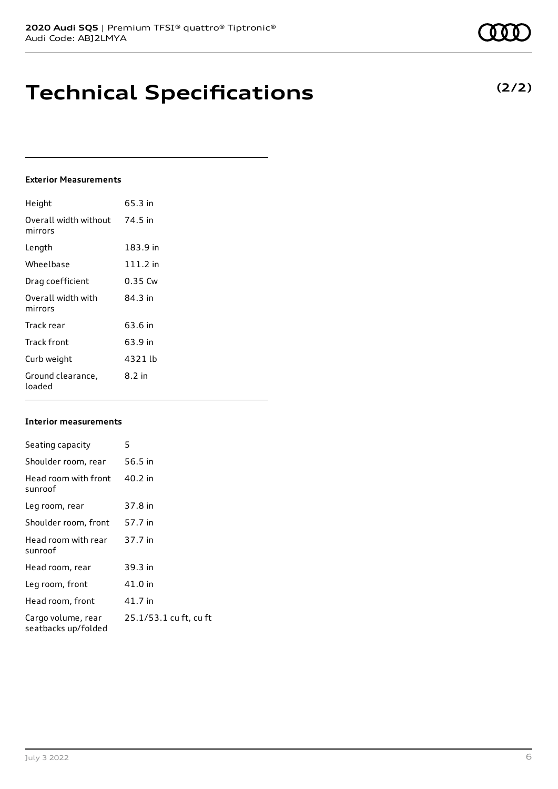## **Technical Specifications**

#### **Exterior Measurements**

| Height                           | 65.3 in    |
|----------------------------------|------------|
| Overall width without<br>mirrors | 74.5 in    |
| Length                           | 183.9 in   |
| Wheelbase                        | $111.2$ in |
| Drag coefficient                 | 0.35 Cw    |
| Overall width with<br>mirrors    | 84 3 in    |
| Track rear                       | 63.6 in    |
| Track front                      | 63.9 in    |
| Curb weight                      | 4321 lb    |
| Ground clearance,<br>loaded      | 8.2 in     |

#### **Interior measurements**

| Seating capacity                          | 5                      |
|-------------------------------------------|------------------------|
| Shoulder room, rear                       | 56.5 in                |
| Head room with front<br>sunroof           | 40.2 in                |
| Leg room, rear                            | 37.8 in                |
| Shoulder room, front                      | 57.7 in                |
| Head room with rear<br>sunroof            | 37.7 in                |
| Head room, rear                           | 39.3 in                |
| Leg room, front                           | 41.0 in                |
| Head room, front                          | 41.7 in                |
| Cargo volume, rear<br>seatbacks up/folded | 25.1/53.1 cu ft, cu ft |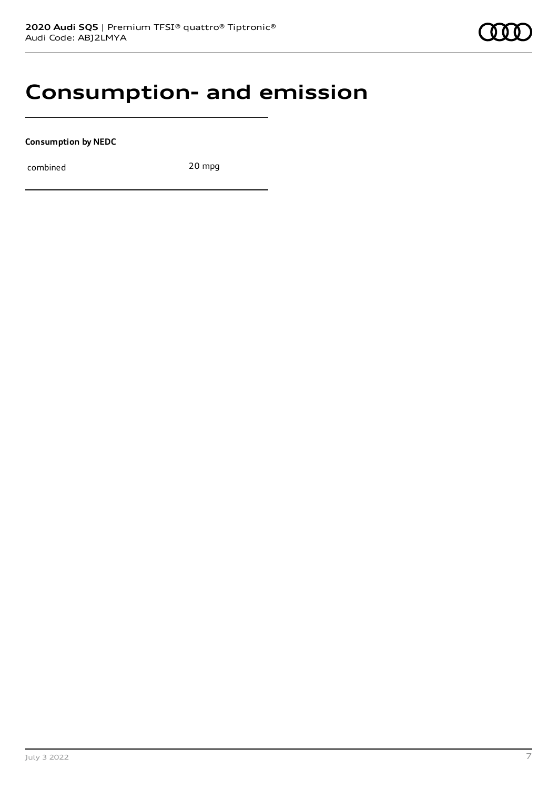### **Consumption- and emission**

**Consumption by NEDC**

combined 20 mpg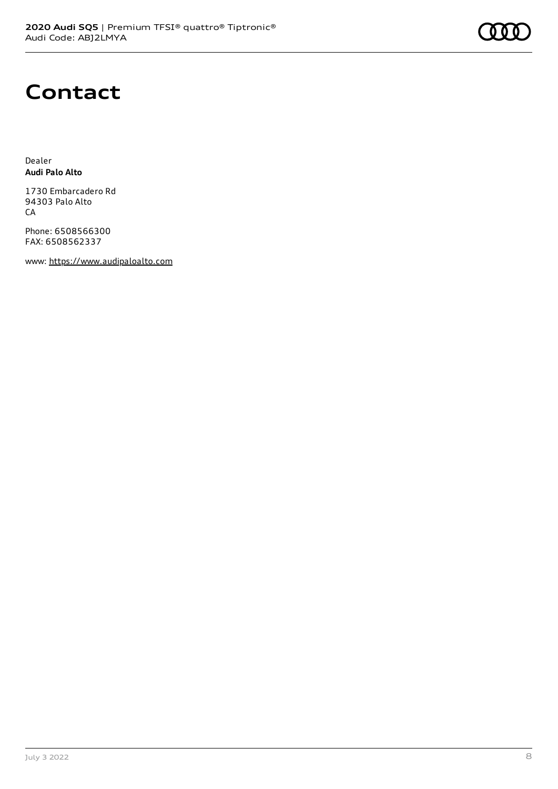# **Contact**

Dealer **Audi Palo Alto**

1730 Embarcadero Rd 94303 Palo Alto CA

Phone: 6508566300 FAX: 6508562337

www: [https://www.audipaloalto.com](https://www.audipaloalto.com/)